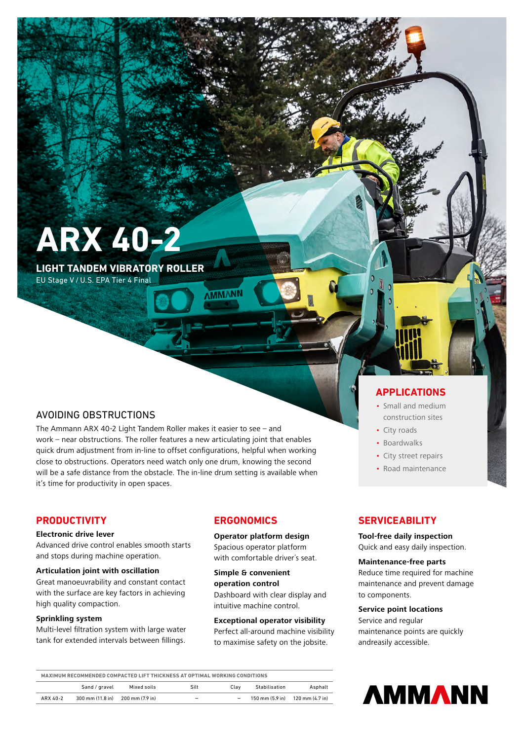**ARX 40-2**

**LIGHT TANDEM VIBRATORY ROLLER**

EU Stage V / U.S. EPA Tier 4 Final

## AVOIDING OBSTRUCTIONS

The Ammann ARX 40-2 Light Tandem Roller makes it easier to see – and work – near obstructions. The roller features a new articulating joint that enables quick drum adjustment from in-line to offset configurations, helpful when working close to obstructions. Operators need watch only one drum, knowing the second will be a safe distance from the obstacle. The in-line drum setting is available when it's time for productivity in open spaces.

## **PRODUCTIVITY**

#### **Electronic drive lever**

Advanced drive control enables smooth starts and stops during machine operation.

#### **Articulation joint with oscillation**

Great manoeuvrability and constant contact with the surface are key factors in achieving high quality compaction.

#### **Sprinkling system**

Multi-level filtration system with large water tank for extended intervals between fillings.

## **ERGONOMICS**

**Operator platform design** Spacious operator platform with comfortable driver´s seat.

**Simple & convenient operation control**  Dashboard with clear display and intuitive machine control.

#### **Exceptional operator visibility**

Perfect all-around machine visibility to maximise safety on the jobsite.

# **APPLICATIONS**

- Small and medium construction sites
- City roads
- Boardwalks
- City street repairs
- Road maintenance

## **SERVICEABILITY**

## **Tool-free daily inspection**

Quick and easy daily inspection.

### **Maintenance-free parts**

Reduce time required for machine maintenance and prevent damage to components.

#### **Service point locations**

Service and regular maintenance points are quickly andreasily accessible.

| MAXIMUM RECOMMENDED COMPACTED LIFT THICKNESS AT OPTIMAL WORKING CONDITIONS |                  |                 |                          |      |               |                                                                     |
|----------------------------------------------------------------------------|------------------|-----------------|--------------------------|------|---------------|---------------------------------------------------------------------|
|                                                                            | Sand / gravel    | Mixed soils     | Silt                     | Clav | Stabilisation | Asphalt                                                             |
| ARX 40-2                                                                   | 300 mm (11.8 in) | 200 mm (7.9 in) | $\overline{\phantom{a}}$ | -    |               | $150 \text{ mm} (5.9 \text{ in})$ $120 \text{ mm} (4.7 \text{ in})$ |